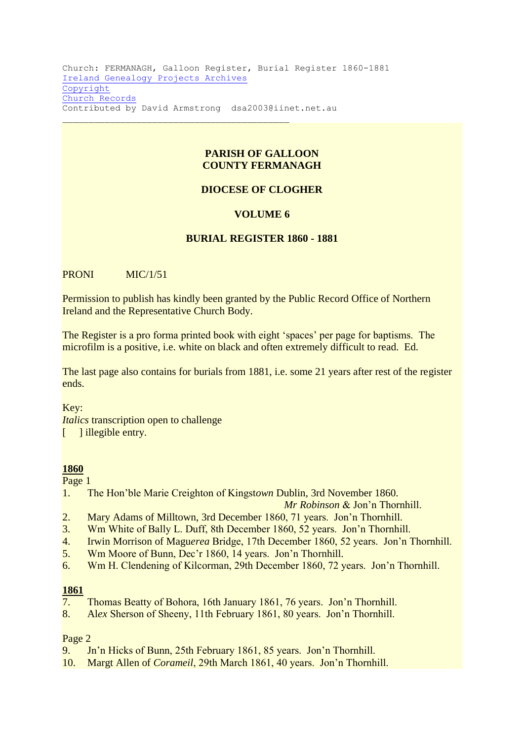Church: FERMANAGH, Galloon Register, Burial Register 1860-1881 [Ireland Genealogy Projects Archives](http://www.igp-web.com/IGPArchives/index.htm) [Copyright](http://www.igp-web.com/IGPArchives/copyright.htm) [Church Records](http://www.igp-web.com/IGPArchives/ire/fermanagh/church.htm) Contributed by David Armstrong dsa2003@iinet.net.au

## **PARISH OF GALLOON COUNTY FERMANAGH**

## **DIOCESE OF CLOGHER**

#### **VOLUME 6**

#### **BURIAL REGISTER 1860 - 1881**

PRONI MIC/1/51

Permission to publish has kindly been granted by the Public Record Office of Northern Ireland and the Representative Church Body.

The Register is a pro forma printed book with eight 'spaces' per page for baptisms. The microfilm is a positive, i.e. white on black and often extremely difficult to read. Ed.

The last page also contains for burials from 1881, i.e. some 21 years after rest of the register ends.

Key:

*Italics* transcription open to challenge [ ] illegible entry.

#### **1860**

Page 1

1. The Hon'ble Marie Creighton of Kingst*own* Dublin, 3rd November 1860.

*Mr Robinson* & Jon'n Thornhill.

- 2. Mary Adams of Milltown, 3rd December 1860, 71 years. Jon'n Thornhill.
- 3. Wm White of Bally L. Duff, 8th December 1860, 52 years. Jon'n Thornhill.
- 4. Irwin Morrison of Magu*erea* Bridge, 17th December 1860, 52 years. Jon'n Thornhill.
- 5. Wm Moore of Bunn, Dec'r 1860, 14 years. Jon'n Thornhill.
- 6. Wm H. Clendening of Kilcorman, 29th December 1860, 72 years. Jon'n Thornhill.

#### **1861**

- 7. Thomas Beatty of Bohora, 16th January 1861, 76 years. Jon'n Thornhill.
- 8. Al*ex* Sherson of Sheeny, 11th February 1861, 80 years. Jon'n Thornhill.

#### Page 2

- 9. Jn'n Hicks of Bunn, 25th February 1861, 85 years. Jon'n Thornhill.
- 10. Margt Allen of *Corameil*, 29th March 1861, 40 years. Jon'n Thornhill.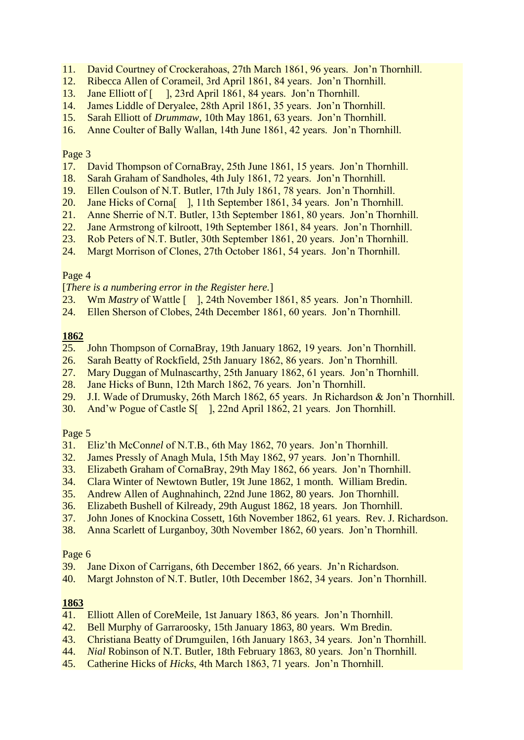- 11. David Courtney of Crockerahoas, 27th March 1861, 96 years. Jon'n Thornhill.
- 12. Ribecca Allen of Corameil, 3rd April 1861, 84 years. Jon'n Thornhill.
- 13. Jane Elliott of [ ], 23rd April 1861, 84 years. Jon'n Thornhill.
- 14. James Liddle of Deryalee, 28th April 1861, 35 years. Jon'n Thornhill.
- 15. Sarah Elliott of *Drummaw*, 10th May 1861, 63 years. Jon'n Thornhill.
- 16. Anne Coulter of Bally Wallan, 14th June 1861, 42 years. Jon'n Thornhill.

- 17. David Thompson of CornaBray, 25th June 1861, 15 years. Jon'n Thornhill.
- 18. Sarah Graham of Sandholes, 4th July 1861, 72 years. Jon'n Thornhill.
- 19. Ellen Coulson of N.T. Butler, 17th July 1861, 78 years. Jon'n Thornhill.
- 20. Jane Hicks of Corna[ ], 11th September 1861, 34 years. Jon'n Thornhill.
- 21. Anne Sherrie of N.T. Butler, 13th September 1861, 80 years. Jon'n Thornhill.
- 22. Jane Armstrong of kilroott, 19th September 1861, 84 years. Jon'n Thornhill.
- 23. Rob Peters of N.T. Butler, 30th September 1861, 20 years. Jon'n Thornhill.
- 24. Margt Morrison of Clones, 27th October 1861, 54 years. Jon'n Thornhill.

## Page 4

[*There is a numbering error in the Register here.*]

- 23. Wm *Mastry* of Wattle [ ], 24th November 1861, 85 years. Jon'n Thornhill.
- 24. Ellen Sherson of Clobes, 24th December 1861, 60 years. Jon'n Thornhill.

## **1862**

- 25. John Thompson of CornaBray, 19th January 1862, 19 years. Jon'n Thornhill.
- 26. Sarah Beatty of Rockfield, 25th January 1862, 86 years. Jon'n Thornhill.
- 27. Mary Duggan of Mulnascarthy, 25th January 1862, 61 years. Jon'n Thornhill.
- 28. Jane Hicks of Bunn, 12th March 1862, 76 years. Jon'n Thornhill.
- 29. J.I. Wade of Drumusky, 26th March 1862, 65 years. Jn Richardson & Jon'n Thornhill.
- 30. And'w Pogue of Castle S[ ], 22nd April 1862, 21 years. Jon Thornhill.

#### Page 5

- 31. Eliz'th McCon*nel* of N.T.B., 6th May 1862, 70 years. Jon'n Thornhill.
- 32. James Pressly of Anagh Mula, 15th May 1862, 97 years. Jon'n Thornhill.
- 33. Elizabeth Graham of CornaBray, 29th May 1862, 66 years. Jon'n Thornhill.
- 34. Clara Winter of Newtown Butler, 19t June 1862, 1 month. William Bredin.
- 35. Andrew Allen of Aughnahinch, 22nd June 1862, 80 years. Jon Thornhill.
- 36. Elizabeth Bushell of Kilready, 29th August 1862, 18 years. Jon Thornhill.
- 37. John Jones of Knockina Cossett, 16th November 1862, 61 years. Rev. J. Richardson.
- 38. Anna Scarlett of Lurganboy, 30th November 1862, 60 years. Jon'n Thornhill.

#### Page 6

- 39. Jane Dixon of Carrigans, 6th December 1862, 66 years. Jn'n Richardson.
- 40. Margt Johnston of N.T. Butler, 10th December 1862, 34 years. Jon'n Thornhill.

## **1863**

- 41. Elliott Allen of CoreMeile, 1st January 1863, 86 years. Jon'n Thornhill.
- 42. Bell Murphy of Garraroosky, 15th January 1863, 80 years. Wm Bredin.
- 43. Christiana Beatty of Drumguilen, 16th January 1863, 34 years. Jon'n Thornhill.
- 44. *Nial* Robinson of N.T. Butler, 18th February 1863, 80 years. Jon'n Thornhill.
- 45. Catherine Hicks of *Hicks*, 4th March 1863, 71 years. Jon'n Thornhill.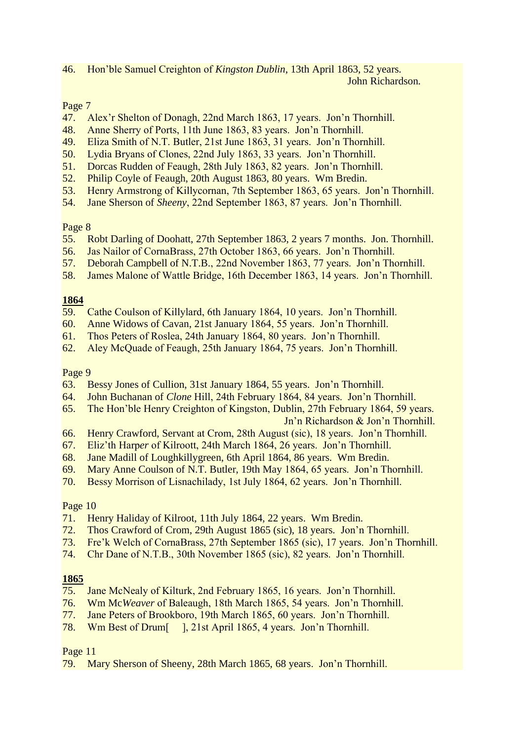46. Hon'ble Samuel Creighton of *Kingston Dublin*, 13th April 1863, 52 years. John Richardson.

# Page 7

- 47. Alex'r Shelton of Donagh, 22nd March 1863, 17 years. Jon'n Thornhill.
- 48. Anne Sherry of Ports, 11th June 1863, 83 years. Jon'n Thornhill.
- 49. Eliza Smith of N.T. Butler, 21st June 1863, 31 years. Jon'n Thornhill.
- 50. Lydia Bryans of Clones, 22nd July 1863, 33 years. Jon'n Thornhill.
- 51. Dorcas Rudden of Feaugh, 28th July 1863, 82 years. Jon'n Thornhill.
- 52. Philip Coyle of Feaugh, 20th August 1863, 80 years. Wm Bredin.
- 53. Henry Armstrong of Killycornan, 7th September 1863, 65 years. Jon'n Thornhill.
- 54. Jane Sherson of *Sheeny*, 22nd September 1863, 87 years. Jon'n Thornhill.

## Page 8

- 55. Robt Darling of Doohatt, 27th September 1863, 2 years 7 months. Jon. Thornhill.
- 56. Jas Nailor of CornaBrass, 27th October 1863, 66 years. Jon'n Thornhill.
- 57. Deborah Campbell of N.T.B., 22nd November 1863, 77 years. Jon'n Thornhill.
- 58. James Malone of Wattle Bridge, 16th December 1863, 14 years. Jon'n Thornhill.

# **1864**

- 59. Cathe Coulson of Killylard, 6th January 1864, 10 years. Jon'n Thornhill.
- 60. Anne Widows of Cavan, 21st January 1864, 55 years. Jon'n Thornhill.
- 61. Thos Peters of Roslea, 24th January 1864, 80 years. Jon'n Thornhill.
- 62. Aley McQuade of Feaugh, 25th January 1864, 75 years. Jon'n Thornhill.

## Page 9

- 63. Bessy Jones of Cullion, 31st January 1864, 55 years. Jon'n Thornhill.
- 64. John Buchanan of *Clone* Hill, 24th February 1864, 84 years. Jon'n Thornhill.
- 65. The Hon'ble Henry Creighton of Kingston, Dublin, 27th February 1864, 59 years. Jn'n Richardson & Jon'n Thornhill.
- 66. Henry Crawford, Servant at Crom, 28th August (sic), 18 years. Jon'n Thornhill.
- 67. Eliz'th Harp*er* of Kilroott, 24th March 1864, 26 years. Jon'n Thornhill.
- 68. Jane Madill of Loughkillygreen, 6th April 1864, 86 years. Wm Bredin.
- 69. Mary Anne Coulson of N.T. Butler, 19th May 1864, 65 years. Jon'n Thornhill.
- 70. Bessy Morrison of Lisnachilady, 1st July 1864, 62 years. Jon'n Thornhill.

## Page 10

- 71. Henry Haliday of Kilroot, 11th July 1864, 22 years. Wm Bredin.
- 72. Thos Crawford of Crom, 29th August 1865 (sic), 18 years. Jon'n Thornhill.
- 73. Fre'k Welch of CornaBrass, 27th September 1865 (sic), 17 years. Jon'n Thornhill.
- 74. Chr Dane of N.T.B., 30th November 1865 (sic), 82 years. Jon'n Thornhill.

## **1865**

- 75. Jane McNealy of Kilturk, 2nd February 1865, 16 years. Jon'n Thornhill.
- 76. Wm Mc*Weaver* of Baleaugh, 18th March 1865, 54 years. Jon'n Thornhill.
- 77. Jane Peters of Brookboro, 19th March 1865, 60 years. Jon'n Thornhill.
- 78. Wm Best of Drum[ ], 21st April 1865, 4 years. Jon'n Thornhill.

Page 11

79. Mary Sherson of Sheeny, 28th March 1865, 68 years. Jon'n Thornhill.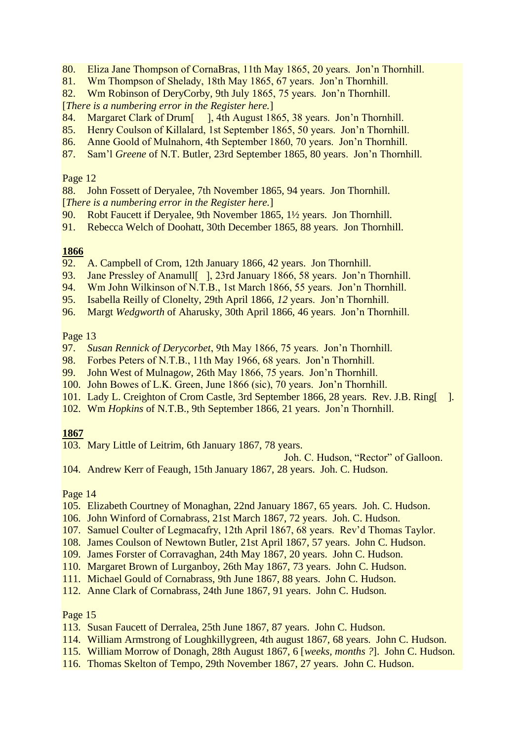- 80. Eliza Jane Thompson of CornaBras, 11th May 1865, 20 years. Jon'n Thornhill.
- 81. Wm Thompson of Shelady, 18th May 1865, 67 years. Jon'n Thornhill.
- 82. Wm Robinson of DeryCorby, 9th July 1865, 75 years. Jon'n Thornhill.

[*There is a numbering error in the Register here.*]

- 84. Margaret Clark of Drum<sup>[1]</sup>, 4th August 1865, 38 years. Jon'n Thornhill.
- 85. Henry Coulson of Killalard, 1st September 1865, 50 years. Jon'n Thornhill.
- 86. Anne Goold of Mulnahorn, 4th September 1860, 70 years. Jon'n Thornhill.
- 87. Sam'l *Greene* of N.T. Butler, 23rd September 1865, 80 years. Jon'n Thornhill.

## Page 12

88. John Fossett of Deryalee, 7th November 1865, 94 years. Jon Thornhill.

[*There is a numbering error in the Register here.*]

- 90. Robt Faucett if Deryalee, 9th November 1865, 1½ years. Jon Thornhill.
- 91. Rebecca Welch of Doohatt, 30th December 1865, 88 years. Jon Thornhill.

## **1866**

- 92. A. Campbell of Crom, 12th January 1866, 42 years. Jon Thornhill.
- 93. Jane Pressley of Anamull [1, 23rd January 1866, 58 years. Jon'n Thornhill.
- 94. Wm John Wilkinson of N.T.B., 1st March 1866, 55 years. Jon'n Thornhill.
- 95. Isabella Reilly of Clonelty, 29th April 1866, *12* years. Jon'n Thornhill.
- 96. Margt *Wedgworth* of Aharusky, 30th April 1866, 46 years. Jon'n Thornhill.

## Page 13

- 97. *Susan Rennick of Derycorbet*, 9th May 1866, 75 years. Jon'n Thornhill.
- 98. Forbes Peters of N.T.B., 11th May 1966, 68 years. Jon'n Thornhill.
- 99. John West of Mulnag*ow*, 26th May 1866, 75 years. Jon'n Thornhill.
- 100. John Bowes of L.K. Green, June 1866 (sic), 70 years. Jon'n Thornhill.
- 101. Lady L. Creighton of Crom Castle, 3rd September 1866, 28 years. Rev. J.B. Ring[ ].
- 102. Wm *Hopkins* of N.T.B., 9th September 1866, 21 years. Jon'n Thornhill.

## **1867**

103. Mary Little of Leitrim, 6th January 1867, 78 years.

Joh. C. Hudson, "Rector" of Galloon.

104. Andrew Kerr of Feaugh, 15th January 1867, 28 years. Joh. C. Hudson.

## Page 14

- 105. Elizabeth Courtney of Monaghan, 22nd January 1867, 65 years. Joh. C. Hudson.
- 106. John Winford of Cornabrass, 21st March 1867, 72 years. Joh. C. Hudson.
- 107. Samuel Coulter of Legmacafry, 12th April 1867, 68 years. Rev'd Thomas Taylor.
- 108. James Coulson of Newtown Butler, 21st April 1867, 57 years. John C. Hudson.
- 109. James Forster of Corravaghan, 24th May 1867, 20 years. John C. Hudson.
- 110. Margaret Brown of Lurganboy, 26th May 1867, 73 years. John C. Hudson.
- 111. Michael Gould of Cornabrass, 9th June 1867, 88 years. John C. Hudson.
- 112. Anne Clark of Cornabrass, 24th June 1867, 91 years. John C. Hudson.

## Page 15

- 113. Susan Faucett of Derralea, 25th June 1867, 87 years. John C. Hudson.
- 114. William Armstrong of Loughkillygreen, 4th august 1867, 68 years. John C. Hudson.
- 115. William Morrow of Donagh, 28th August 1867, 6 [*weeks, months ?*]. John C. Hudson.
- 116. Thomas Skelton of Tempo, 29th November 1867, 27 years. John C. Hudson.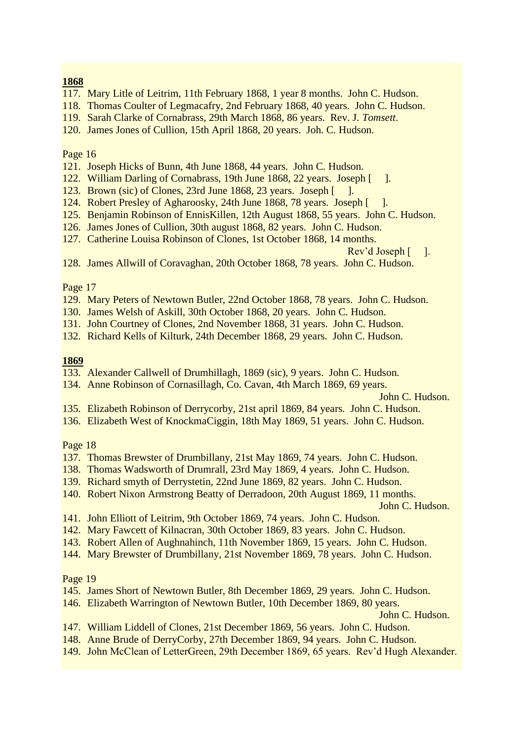## **1868**

- 117. Mary Litle of Leitrim, 11th February 1868, 1 year 8 months. John C. Hudson.
- 118. Thomas Coulter of Legmacafry, 2nd February 1868, 40 years. John C. Hudson.
- 119. Sarah Clarke of Cornabrass, 29th March 1868, 86 years. Rev. J. *Tomsett*.
- 120. James Jones of Cullion, 15th April 1868, 20 years. Joh. C. Hudson.

#### Page 16

- 121. Joseph Hicks of Bunn, 4th June 1868, 44 years. John C. Hudson.
- 122. William Darling of Cornabrass, 19th June 1868, 22 years. Joseph [ ].
- 123. Brown (sic) of Clones, 23rd June 1868, 23 years. Joseph [ ].
- 124. Robert Presley of Agharoosky, 24th June 1868, 78 years. Joseph [ ].
- 125. Benjamin Robinson of EnnisKillen, 12th August 1868, 55 years. John C. Hudson.
- 126. James Jones of Cullion, 30th august 1868, 82 years. John C. Hudson.
- 127. Catherine Louisa Robinson of Clones, 1st October 1868, 14 months.

Rev'd Joseph [ ].

128. James Allwill of Coravaghan, 20th October 1868, 78 years. John C. Hudson.

## Page 17

- 129. Mary Peters of Newtown Butler, 22nd October 1868, 78 years. John C. Hudson.
- 130. James Welsh of Askill, 30th October 1868, 20 years. John C. Hudson.
- 131. John Courtney of Clones, 2nd November 1868, 31 years. John C. Hudson.
- 132. Richard Kells of Kilturk, 24th December 1868, 29 years. John C. Hudson.

## **1869**

- 133. Alexander Callwell of Drumhillagh, 1869 (sic), 9 years. John C. Hudson.
- 134. Anne Robinson of Cornasillagh, Co. Cavan, 4th March 1869, 69 years.

John C. Hudson.

- 135. Elizabeth Robinson of Derrycorby, 21st april 1869, 84 years. John C. Hudson.
- 136. Elizabeth West of KnockmaCiggin, 18th May 1869, 51 years. John C. Hudson.

## Page 18

- 137. Thomas Brewster of Drumbillany, 21st May 1869, 74 years. John C. Hudson.
- 138. Thomas Wadsworth of Drumrall, 23rd May 1869, 4 years. John C. Hudson.
- 139. Richard smyth of Derrystetin, 22nd June 1869, 82 years. John C. Hudson.
- 140. Robert Nixon Armstrong Beatty of Derradoon, 20th August 1869, 11 months.

John C. Hudson.

- 141. John Elliott of Leitrim, 9th October 1869, 74 years. John C. Hudson.
- 142. Mary Fawcett of Kilnacran, 30th October 1869, 83 years. John C. Hudson.
- 143. Robert Allen of Aughnahinch, 11th November 1869, 15 years. John C. Hudson.
- 144. Mary Brewster of Drumbillany, 21st November 1869, 78 years. John C. Hudson.

#### Page 19

- 145. James Short of Newtown Butler, 8th December 1869, 29 years. John C. Hudson.
- 146. Elizabeth Warrington of Newtown Butler, 10th December 1869, 80 years.

John C. Hudson.

- 147. William Liddell of Clones, 21st December 1869, 56 years. John C. Hudson.
- 148. Anne Brude of DerryCorby, 27th December 1869, 94 years. John C. Hudson.
- 149. John McClean of LetterGreen, 29th December 1869, 65 years. Rev'd Hugh Alexander.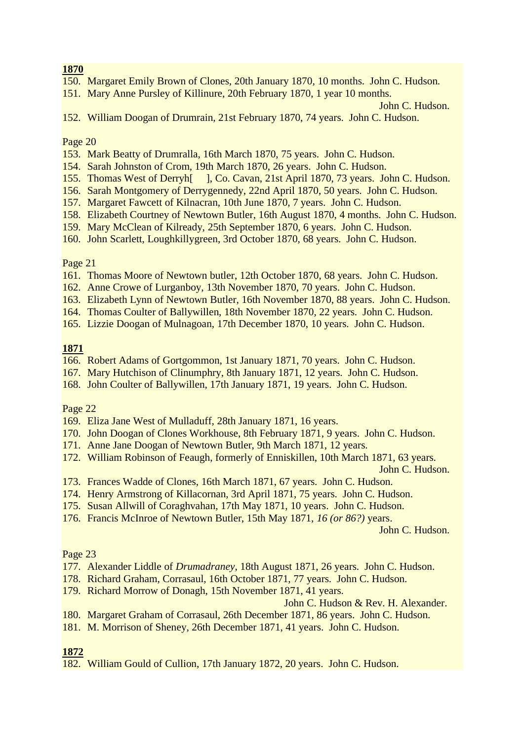## **1870**

- 150. Margaret Emily Brown of Clones, 20th January 1870, 10 months. John C. Hudson.
- 151. Mary Anne Pursley of Killinure, 20th February 1870, 1 year 10 months.

John C. Hudson.

152. William Doogan of Drumrain, 21st February 1870, 74 years. John C. Hudson.

#### Page 20

- 153. Mark Beatty of Drumralla, 16th March 1870, 75 years. John C. Hudson.
- 154. Sarah Johnston of Crom, 19th March 1870, 26 years. John C. Hudson.
- 155. Thomas West of Derryh[ ], Co. Cavan, 21st April 1870, 73 years. John C. Hudson.
- 156. Sarah Montgomery of Derrygennedy, 22nd April 1870, 50 years. John C. Hudson.
- 157. Margaret Fawcett of Kilnacran, 10th June 1870, 7 years. John C. Hudson.
- 158. Elizabeth Courtney of Newtown Butler, 16th August 1870, 4 months. John C. Hudson.
- 159. Mary McClean of Kilready, 25th September 1870, 6 years. John C. Hudson.
- 160. John Scarlett, Loughkillygreen, 3rd October 1870, 68 years. John C. Hudson.

## Page 21

- 161. Thomas Moore of Newtown butler, 12th October 1870, 68 years. John C. Hudson.
- 162. Anne Crowe of Lurganboy, 13th November 1870, 70 years. John C. Hudson.
- 163. Elizabeth Lynn of Newtown Butler, 16th November 1870, 88 years. John C. Hudson.
- 164. Thomas Coulter of Ballywillen, 18th November 1870, 22 years. John C. Hudson.
- 165. Lizzie Doogan of Mulnagoan, 17th December 1870, 10 years. John C. Hudson.

## **1871**

- 166. Robert Adams of Gortgommon, 1st January 1871, 70 years. John C. Hudson.
- 167. Mary Hutchison of Clinumphry, 8th January 1871, 12 years. John C. Hudson.
- 168. John Coulter of Ballywillen, 17th January 1871, 19 years. John C. Hudson.

## Page 22

- 169. Eliza Jane West of Mulladuff, 28th January 1871, 16 years.
- 170. John Doogan of Clones Workhouse, 8th February 1871, 9 years. John C. Hudson.
- 171. Anne Jane Doogan of Newtown Butler, 9th March 1871, 12 years.
- 172. William Robinson of Feaugh, formerly of Enniskillen, 10th March 1871, 63 years.

John C. Hudson.

- 173. Frances Wadde of Clones, 16th March 1871, 67 years. John C. Hudson.
- 174. Henry Armstrong of Killacornan, 3rd April 1871, 75 years. John C. Hudson.
- 175. Susan Allwill of Coraghvahan, 17th May 1871, 10 years. John C. Hudson.
- 176. Francis McInroe of Newtown Butler, 15th May 1871, *16 (or 86?)* years.

John C. Hudson.

## Page 23

- 177. Alexander Liddle of *Drumadraney*, 18th August 1871, 26 years. John C. Hudson.
- 178. Richard Graham, Corrasaul, 16th October 1871, 77 years. John C. Hudson.
- 179. Richard Morrow of Donagh, 15th November 1871, 41 years.

John C. Hudson & Rev. H. Alexander.

- 180. Margaret Graham of Corrasaul, 26th December 1871, 86 years. John C. Hudson.
- 181. M. Morrison of Sheney, 26th December 1871, 41 years. John C. Hudson.

# **1872**

182. William Gould of Cullion, 17th January 1872, 20 years. John C. Hudson.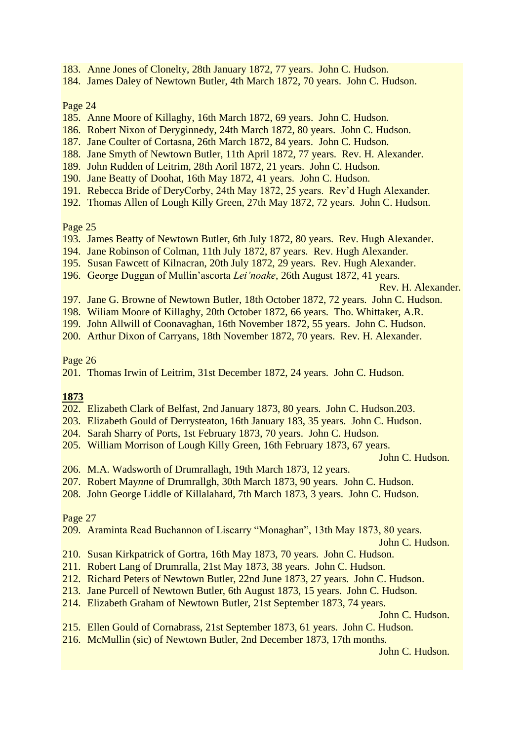- 183. Anne Jones of Clonelty, 28th January 1872, 77 years. John C. Hudson.
- 184. James Daley of Newtown Butler, 4th March 1872, 70 years. John C. Hudson.

- 185. Anne Moore of Killaghy, 16th March 1872, 69 years. John C. Hudson.
- 186. Robert Nixon of Deryginnedy, 24th March 1872, 80 years. John C. Hudson.
- 187. Jane Coulter of Cortasna, 26th March 1872, 84 years. John C. Hudson.
- 188. Jane Smyth of Newtown Butler, 11th April 1872, 77 years. Rev. H. Alexander.
- 189. John Rudden of Leitrim, 28th Aoril 1872, 21 years. John C. Hudson.
- 190. Jane Beatty of Doohat, 16th May 1872, 41 years. John C. Hudson.
- 191. Rebecca Bride of DeryCorby, 24th May 1872, 25 years. Rev'd Hugh Alexander.
- 192. Thomas Allen of Lough Killy Green, 27th May 1872, 72 years. John C. Hudson.

Page 25

- 193. James Beatty of Newtown Butler, 6th July 1872, 80 years. Rev. Hugh Alexander.
- 194. Jane Robinson of Colman, 11th July 1872, 87 years. Rev. Hugh Alexander.
- 195. Susan Fawcett of Kilnacran, 20th July 1872, 29 years. Rev. Hugh Alexander.
- 196. George Duggan of Mullin'ascorta *Lei'noake*, 26th August 1872, 41 years.

Rev. H. Alexander.

- 197. Jane G. Browne of Newtown Butler, 18th October 1872, 72 years. John C. Hudson.
- 198. Wiliam Moore of Killaghy, 20th October 1872, 66 years. Tho. Whittaker, A.R.
- 199. John Allwill of Coonavaghan, 16th November 1872, 55 years. John C. Hudson.
- 200. Arthur Dixon of Carryans, 18th November 1872, 70 years. Rev. H. Alexander.

Page 26

201. Thomas Irwin of Leitrim, 31st December 1872, 24 years. John C. Hudson.

## **1873**

- 202. Elizabeth Clark of Belfast, 2nd January 1873, 80 years. John C. Hudson.203.
- 203. Elizabeth Gould of Derrysteaton, 16th January 183, 35 years. John C. Hudson.
- 204. Sarah Sharry of Ports, 1st February 1873, 70 years. John C. Hudson.
- 205. William Morrison of Lough Killy Green, 16th February 1873, 67 years.

John C. Hudson.

206. M.A. Wadsworth of Drumrallagh, 19th March 1873, 12 years.

- 207. Robert May*nn*e of Drumrallgh, 30th March 1873, 90 years. John C. Hudson.
- 208. John George Liddle of Killalahard, 7th March 1873, 3 years. John C. Hudson.

Page 27

209. Araminta Read Buchannon of Liscarry "Monaghan", 13th May 1873, 80 years.

John C. Hudson.

- 210. Susan Kirkpatrick of Gortra, 16th May 1873, 70 years. John C. Hudson.
- 211. Robert Lang of Drumralla, 21st May 1873, 38 years. John C. Hudson.
- 212. Richard Peters of Newtown Butler, 22nd June 1873, 27 years. John C. Hudson.
- 213. Jane Purcell of Newtown Butler, 6th August 1873, 15 years. John C. Hudson.
- 214. Elizabeth Graham of Newtown Butler, 21st September 1873, 74 years.

John C. Hudson.

- 215. Ellen Gould of Cornabrass, 21st September 1873, 61 years. John C. Hudson.
- 216. McMullin (sic) of Newtown Butler, 2nd December 1873, 17th months.

John C. Hudson.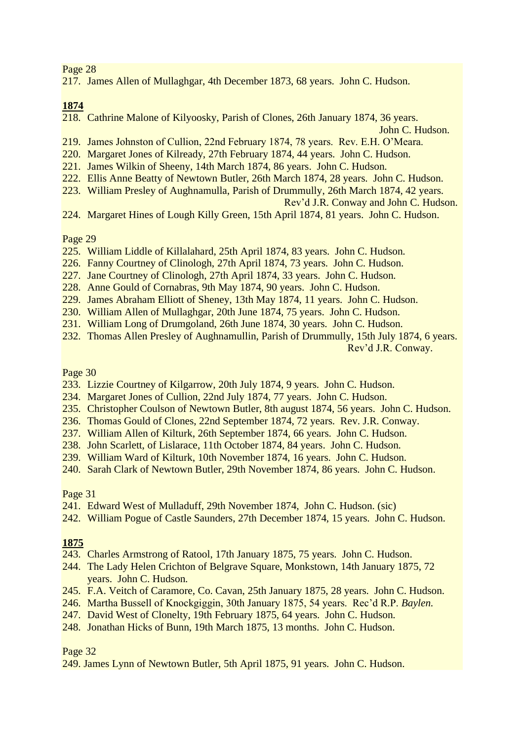217. James Allen of Mullaghgar, 4th December 1873, 68 years. John C. Hudson.

**1874**

218. Cathrine Malone of Kilyoosky, Parish of Clones, 26th January 1874, 36 years.

John C. Hudson.

- 219. James Johnston of Cullion, 22nd February 1874, 78 years. Rev. E.H. O'Meara.
- 220. Margaret Jones of Kilready, 27th February 1874, 44 years. John C. Hudson.
- 221. James Wilkin of Sheeny, 14th March 1874, 86 years. John C. Hudson.
- 222. Ellis Anne Beatty of Newtown Butler, 26th March 1874, 28 years. John C. Hudson.
- 223. William Presley of Aughnamulla, Parish of Drummully, 26th March 1874, 42 years.

Rev'd J.R. Conway and John C. Hudson.

224. Margaret Hines of Lough Killy Green, 15th April 1874, 81 years. John C. Hudson.

Page 29

- 225. William Liddle of Killalahard, 25th April 1874, 83 years. John C. Hudson.
- 226. Fanny Courtney of Clinologh, 27th April 1874, 73 years. John C. Hudson.
- 227. Jane Courtney of Clinologh, 27th April 1874, 33 years. John C. Hudson.
- 228. Anne Gould of Cornabras, 9th May 1874, 90 years. John C. Hudson.
- 229. James Abraham Elliott of Sheney, 13th May 1874, 11 years. John C. Hudson.
- 230. William Allen of Mullaghgar, 20th June 1874, 75 years. John C. Hudson.
- 231. William Long of Drumgoland, 26th June 1874, 30 years. John C. Hudson.
- 232. Thomas Allen Presley of Aughnamullin, Parish of Drummully, 15th July 1874, 6 years. Rev'd J.R. Conway.

Page 30

- 233. Lizzie Courtney of Kilgarrow, 20th July 1874, 9 years. John C. Hudson.
- 234. Margaret Jones of Cullion, 22nd July 1874, 77 years. John C. Hudson.
- 235. Christopher Coulson of Newtown Butler, 8th august 1874, 56 years. John C. Hudson.
- 236. Thomas Gould of Clones, 22nd September 1874, 72 years. Rev. J.R. Conway.
- 237. William Allen of Kilturk, 26th September 1874, 66 years. John C. Hudson.
- 238. John Scarlett, of Lislarace, 11th October 1874, 84 years. John C. Hudson.
- 239. William Ward of Kilturk, 10th November 1874, 16 years. John C. Hudson.
- 240. Sarah Clark of Newtown Butler, 29th November 1874, 86 years. John C. Hudson.

Page 31

- 241. Edward West of Mulladuff, 29th November 1874, John C. Hudson. (sic)
- 242. William Pogue of Castle Saunders, 27th December 1874, 15 years. John C. Hudson.

## **1875**

- 243. Charles Armstrong of Ratool, 17th January 1875, 75 years. John C. Hudson.
- 244. The Lady Helen Crichton of Belgrave Square, Monkstown, 14th January 1875, 72 years. John C. Hudson.
- 245. F.A. Veitch of Caramore, Co. Cavan, 25th January 1875, 28 years. John C. Hudson.
- 246. Martha Bussell of Knockgiggin, 30th January 1875, 54 years. Rec'd R.P. *Baylen.*
- 247. David West of Clonelty, 19th February 1875, 64 years. John C. Hudson.
- 248. Jonathan Hicks of Bunn, 19th March 1875, 13 months. John C. Hudson.

Page 32

249. James Lynn of Newtown Butler, 5th April 1875, 91 years. John C. Hudson.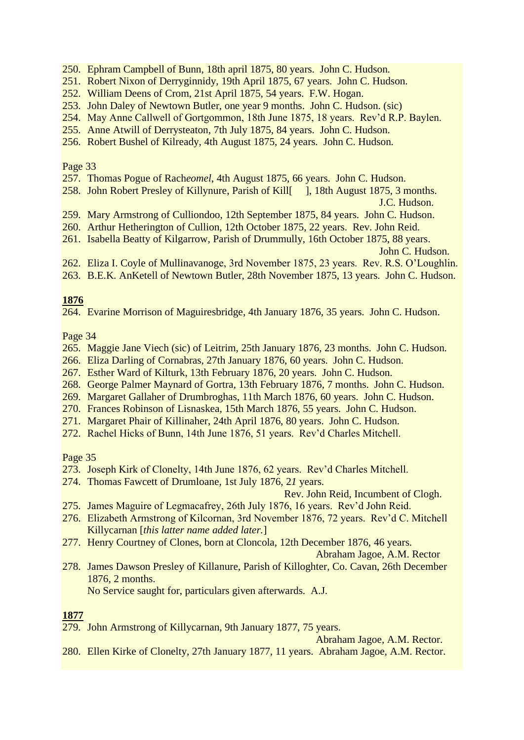- 250. Ephram Campbell of Bunn, 18th april 1875, 80 years. John C. Hudson.
- 251. Robert Nixon of Derryginnidy, 19th April 1875, 67 years. John C. Hudson.
- 252. William Deens of Crom, 21st April 1875, 54 years. F.W. Hogan.
- 253. John Daley of Newtown Butler, one year 9 months. John C. Hudson. (sic)
- 254. May Anne Callwell of Gortgommon, 18th June 1875, 18 years. Rev'd R.P. Baylen.
- 255. Anne Atwill of Derrysteaton, 7th July 1875, 84 years. John C. Hudson.
- 256. Robert Bushel of Kilready, 4th August 1875, 24 years. John C. Hudson.

- 257. Thomas Pogue of Rach*eomel*, 4th August 1875, 66 years. John C. Hudson.
- 258. John Robert Presley of Killynure, Parish of Kill<sup>[1]</sup>, 18th August 1875, 3 months.

J.C. Hudson.

- 259. Mary Armstrong of Culliondoo, 12th September 1875, 84 years. John C. Hudson.
- 260. Arthur Hetherington of Cullion, 12th October 1875, 22 years. Rev. John Reid.
- 261. Isabella Beatty of Kilgarrow, Parish of Drummully, 16th October 1875, 88 years.

John C. Hudson.

- 262. Eliza I. Coyle of Mullinavanoge, 3rd November 1875, 23 years. Rev. R.S. O'Loughlin.
- 263. B.E.K. AnKetell of Newtown Butler, 28th November 1875, 13 years. John C. Hudson.

## **1876**

264. Evarine Morrison of Maguiresbridge, 4th January 1876, 35 years. John C. Hudson.

Page 34

- 265. Maggie Jane Viech (sic) of Leitrim, 25th January 1876, 23 months. John C. Hudson.
- 266. Eliza Darling of Cornabras, 27th January 1876, 60 years. John C. Hudson.
- 267. Esther Ward of Kilturk, 13th February 1876, 20 years. John C. Hudson.
- 268. George Palmer Maynard of Gortra, 13th February 1876, 7 months. John C. Hudson.
- 269. Margaret Gallaher of Drumbroghas, 11th March 1876, 60 years. John C. Hudson.
- 270. Frances Robinson of Lisnaskea, 15th March 1876, 55 years. John C. Hudson.
- 271. Margaret Phair of Killinaher, 24th April 1876, 80 years. John C. Hudson.
- 272. Rachel Hicks of Bunn, 14th June 1876, 51 years. Rev'd Charles Mitchell.

Page 35

- 273. Joseph Kirk of Clonelty, 14th June 1876, 62 years. Rev'd Charles Mitchell.
- 274. Thomas Fawcett of Drumloane, 1st July 1876, 2*1* years.

Rev. John Reid, Incumbent of Clogh.

- 275. James Maguire of Legmacafrey, 26th July 1876, 16 years. Rev'd John Reid.
- 276. Elizabeth Armstrong of Kilcornan, 3rd November 1876, 72 years. Rev'd C. Mitchell Killycarnan [*this latter name added later.*]
- 277. Henry Courtney of Clones, born at Cloncola, 12th December 1876, 46 years.

Abraham Jagoe, A.M. Rector

278. James Dawson Presley of Killanure, Parish of Killoghter, Co. Cavan, 26th December 1876, 2 months.

No Service saught for, particulars given afterwards. A.J.

## **1877**

279. John Armstrong of Killycarnan, 9th January 1877, 75 years.

Abraham Jagoe, A.M. Rector.

280. Ellen Kirke of Clonelty, 27th January 1877, 11 years. Abraham Jagoe, A.M. Rector.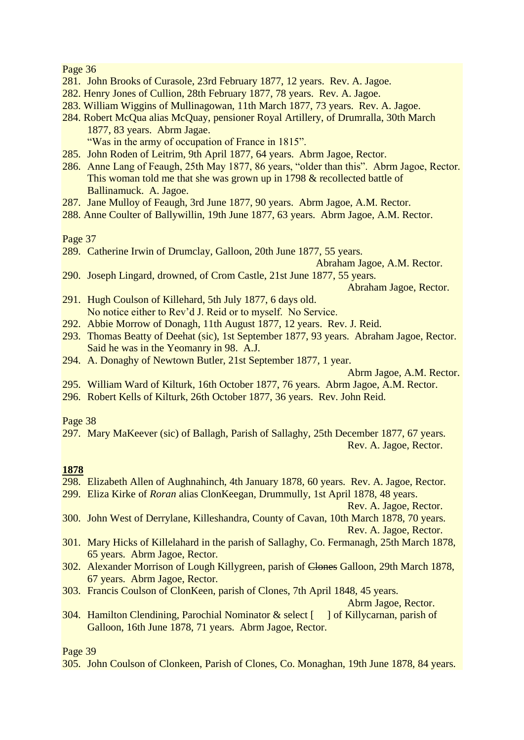- 281. John Brooks of Curasole, 23rd February 1877, 12 years. Rev. A. Jagoe.
- 282. Henry Jones of Cullion, 28th February 1877, 78 years. Rev. A. Jagoe.
- 283. William Wiggins of Mullinagowan, 11th March 1877, 73 years. Rev. A. Jagoe.
- 284. Robert McQua alias McQuay, pensioner Royal Artillery, of Drumralla, 30th March 1877, 83 years. Abrm Jagae. "Was in the army of occupation of France in 1815".
- 285. John Roden of Leitrim, 9th April 1877, 64 years. Abrm Jagoe, Rector.
- 286. Anne Lang of Feaugh, 25th May 1877, 86 years, "older than this". Abrm Jagoe, Rector. This woman told me that she was grown up in 1798 & recollected battle of Ballinamuck. A. Jagoe.
- 287. Jane Mulloy of Feaugh, 3rd June 1877, 90 years. Abrm Jagoe, A.M. Rector.
- 288. Anne Coulter of Ballywillin, 19th June 1877, 63 years. Abrm Jagoe, A.M. Rector.

Page 37

289. Catherine Irwin of Drumclay, Galloon, 20th June 1877, 55 years.

Abraham Jagoe, A.M. Rector.

- 290. Joseph Lingard, drowned, of Crom Castle, 21st June 1877, 55 years. Abraham Jagoe, Rector.
- 291. Hugh Coulson of Killehard, 5th July 1877, 6 days old. No notice either to Rev'd J. Reid or to myself. No Service.
- 292. Abbie Morrow of Donagh, 11th August 1877, 12 years. Rev. J. Reid.
- 293. Thomas Beatty of Deehat (sic), 1st September 1877, 93 years. Abraham Jagoe, Rector. Said he was in the Yeomanry in 98. A.J.
- 294. A. Donaghy of Newtown Butler, 21st September 1877, 1 year.

- 295. William Ward of Kilturk, 16th October 1877, 76 years. Abrm Jagoe, A.M. Rector.
- 296. Robert Kells of Kilturk, 26th October 1877, 36 years. Rev. John Reid.

#### Page 38

297. Mary MaKeever (sic) of Ballagh, Parish of Sallaghy, 25th December 1877, 67 years. Rev. A. Jagoe, Rector.

## **1878**

- 298. Elizabeth Allen of Aughnahinch, 4th January 1878, 60 years. Rev. A. Jagoe, Rector.
- 299. Eliza Kirke of *Roran* alias ClonKeegan, Drummully, 1st April 1878, 48 years.

Rev. A. Jagoe, Rector.

- 300. John West of Derrylane, Killeshandra, County of Cavan, 10th March 1878, 70 years. Rev. A. Jagoe, Rector.
- 301. Mary Hicks of Killelahard in the parish of Sallaghy, Co. Fermanagh, 25th March 1878, 65 years. Abrm Jagoe, Rector.
- 302. Alexander Morrison of Lough Killygreen, parish of Clones Galloon, 29th March 1878, 67 years. Abrm Jagoe, Rector.
- 303. Francis Coulson of ClonKeen, parish of Clones, 7th April 1848, 45 years.

Abrm Jagoe, Rector.

304. Hamilton Clendining, Parochial Nominator & select [ ] of Killycarnan, parish of Galloon, 16th June 1878, 71 years. Abrm Jagoe, Rector.

Page 39

305. John Coulson of Clonkeen, Parish of Clones, Co. Monaghan, 19th June 1878, 84 years.

Abrm Jagoe, A.M. Rector.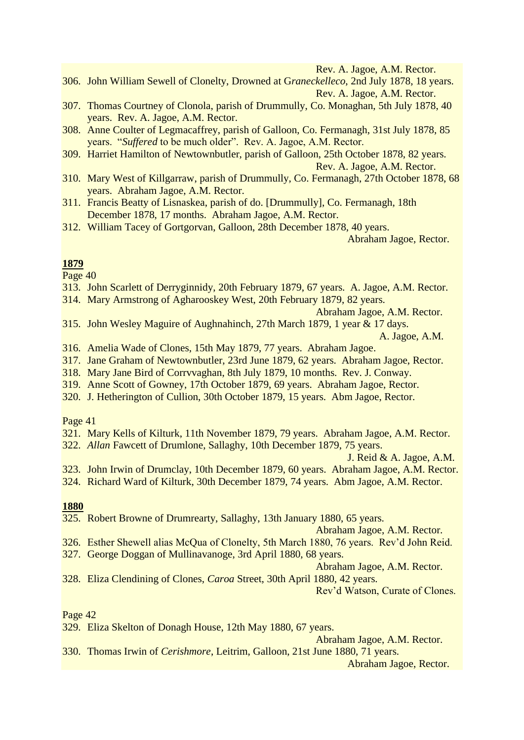Rev. A. Jagoe, A.M. Rector.

- 306. John William Sewell of Clonelty, Drowned at G*raneckelleco*, 2nd July 1878, 18 years. Rev. A. Jagoe, A.M. Rector.
- 307. Thomas Courtney of Clonola, parish of Drummully, Co. Monaghan, 5th July 1878, 40 years. Rev. A. Jagoe, A.M. Rector.
- 308. Anne Coulter of Legmacaffrey, parish of Galloon, Co. Fermanagh, 31st July 1878, 85 years. "*Suffered* to be much older". Rev. A. Jagoe, A.M. Rector.
- 309. Harriet Hamilton of Newtownbutler, parish of Galloon, 25th October 1878, 82 years.

Rev. A. Jagoe, A.M. Rector.

- 310. Mary West of Killgarraw, parish of Drummully, Co. Fermanagh, 27th October 1878, 68 years. Abraham Jagoe, A.M. Rector.
- 311. Francis Beatty of Lisnaskea, parish of do. [Drummully], Co. Fermanagh, 18th December 1878, 17 months. Abraham Jagoe, A.M. Rector.
- 312. William Tacey of Gortgorvan, Galloon, 28th December 1878, 40 years.

Abraham Jagoe, Rector.

## **1879**

Page 40

- 313. John Scarlett of Derryginnidy, 20th February 1879, 67 years. A. Jagoe, A.M. Rector.
- 314. Mary Armstrong of Agharooskey West, 20th February 1879, 82 years.

Abraham Jagoe, A.M. Rector.

- 315. John Wesley Maguire of Aughnahinch, 27th March 1879, 1 year & 17 days. A. Jagoe, A.M.
- 316. Amelia Wade of Clones, 15th May 1879, 77 years. Abraham Jagoe.
- 317. Jane Graham of Newtownbutler, 23rd June 1879, 62 years. Abraham Jagoe, Rector.
- 318. Mary Jane Bird of Corrvvaghan, 8th July 1879, 10 months. Rev. J. Conway.
- 319. Anne Scott of Gowney, 17th October 1879, 69 years. Abraham Jagoe, Rector.
- 320. J. Hetherington of Cullion, 30th October 1879, 15 years. Abm Jagoe, Rector.

## Page 41

- 321. Mary Kells of Kilturk, 11th November 1879, 79 years. Abraham Jagoe, A.M. Rector.
- 322. *Allan* Fawcett of Drumlone, Sallaghy, 10th December 1879, 75 years.

J. Reid & A. Jagoe, A.M.

- 323. John Irwin of Drumclay, 10th December 1879, 60 years. Abraham Jagoe, A.M. Rector.
- 324. Richard Ward of Kilturk, 30th December 1879, 74 years. Abm Jagoe, A.M. Rector.

## **1880**

325. Robert Browne of Drumrearty, Sallaghy, 13th January 1880, 65 years.

Abraham Jagoe, A.M. Rector.

- 326. Esther Shewell alias McQua of Clonelty, 5th March 1880, 76 years. Rev'd John Reid.
- 327. George Doggan of Mullinavanoge, 3rd April 1880, 68 years.

Abraham Jagoe, A.M. Rector.

328. Eliza Clendining of Clones, *Caroa* Street, 30th April 1880, 42 years.

Rev'd Watson, Curate of Clones.

Page 42

329. Eliza Skelton of Donagh House, 12th May 1880, 67 years.

Abraham Jagoe, A.M. Rector.

330. Thomas Irwin of *Cerishmore*, Leitrim, Galloon, 21st June 1880, 71 years.

Abraham Jagoe, Rector.